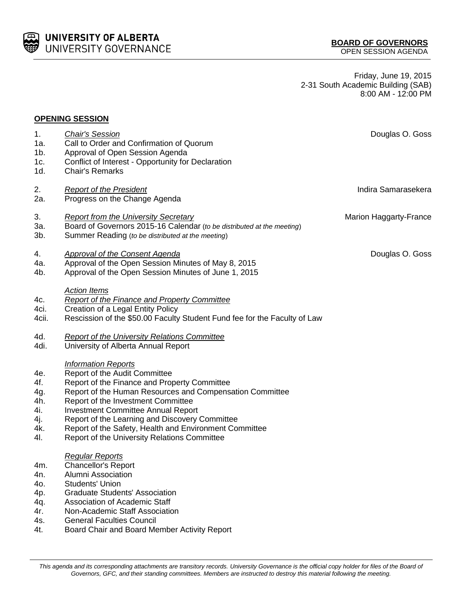

Friday, June 19, 2015 2-31 South Academic Building (SAB) 8:00 AM - 12:00 PM

| <b>OPENING SESSION</b> |
|------------------------|
|------------------------|

| 1.     | <b>Chair's Session</b>                                                    | Douglas O. Goss               |
|--------|---------------------------------------------------------------------------|-------------------------------|
| 1a.    | Call to Order and Confirmation of Quorum                                  |                               |
| $1b$ . | Approval of Open Session Agenda                                           |                               |
| 1c.    | Conflict of Interest - Opportunity for Declaration                        |                               |
| 1d.    | <b>Chair's Remarks</b>                                                    |                               |
| 2.     | <b>Report of the President</b>                                            | Indira Samarasekera           |
| 2a.    | Progress on the Change Agenda                                             |                               |
| 3.     | <b>Report from the University Secretary</b>                               | <b>Marion Haggarty-France</b> |
| 3а.    | Board of Governors 2015-16 Calendar (to be distributed at the meeting)    |                               |
| 3b.    | Summer Reading (to be distributed at the meeting)                         |                               |
| 4.     | <b>Approval of the Consent Agenda</b>                                     | Douglas O. Goss               |
| 4a.    | Approval of the Open Session Minutes of May 8, 2015                       |                               |
| 4b.    | Approval of the Open Session Minutes of June 1, 2015                      |                               |
|        | <b>Action Items</b>                                                       |                               |
| 4c.    | <b>Report of the Finance and Property Committee</b>                       |                               |
| 4ci.   | Creation of a Legal Entity Policy                                         |                               |
| 4cii.  | Rescission of the \$50.00 Faculty Student Fund fee for the Faculty of Law |                               |
| 4d.    | <b>Report of the University Relations Committee</b>                       |                               |
| 4di.   | University of Alberta Annual Report                                       |                               |
|        | <b>Information Reports</b>                                                |                               |
| 4e.    | Report of the Audit Committee                                             |                               |
| 4f.    | Report of the Finance and Property Committee                              |                               |
| 4g.    | Report of the Human Resources and Compensation Committee                  |                               |
| 4h.    | Report of the Investment Committee                                        |                               |
| 4i.    | <b>Investment Committee Annual Report</b>                                 |                               |
| 4j.    | Report of the Learning and Discovery Committee                            |                               |
| 4k.    | Report of the Safety, Health and Environment Committee                    |                               |
| 41.    | Report of the University Relations Committee                              |                               |
|        | <b>Regular Reports</b>                                                    |                               |
| 4m.    | <b>Chancellor's Report</b>                                                |                               |
| 4n.    | Alumni Association                                                        |                               |
| 40.    | <b>Students' Union</b>                                                    |                               |
| 4p.    | <b>Graduate Students' Association</b>                                     |                               |
| 4q.    | Association of Academic Staff                                             |                               |
| 4r.    | Non-Academic Staff Association                                            |                               |
| 4s.    | <b>General Faculties Council</b>                                          |                               |
| 4t.    | Board Chair and Board Member Activity Report                              |                               |